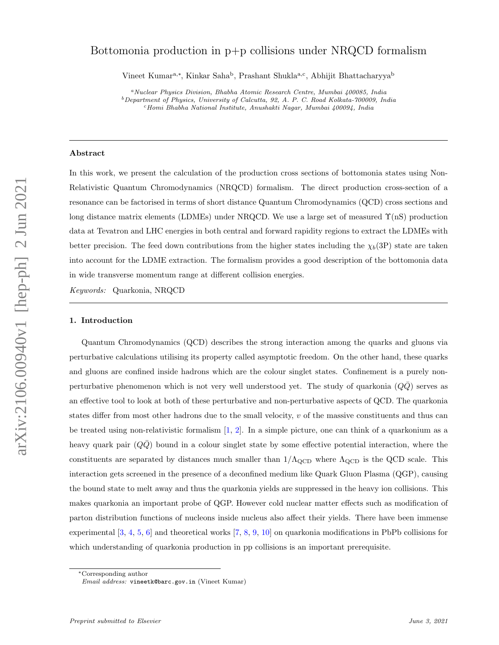# Bottomonia production in p+p collisions under NRQCD formalism

Vineet Kumar<sup>a,∗</sup>, Kinkar Saha<sup>b</sup>, Prashant Shukla<sup>a,c</sup>, Abhijit Bhattacharyya<sup>b</sup>

#### Abstract

In this work, we present the calculation of the production cross sections of bottomonia states using Non-Relativistic Quantum Chromodynamics (NRQCD) formalism. The direct production cross-section of a resonance can be factorised in terms of short distance Quantum Chromodynamics (QCD) cross sections and long distance matrix elements (LDMEs) under NRQCD. We use a large set of measured  $\Upsilon(nS)$  production data at Tevatron and LHC energies in both central and forward rapidity regions to extract the LDMEs with better precision. The feed down contributions from the higher states including the  $\chi_b(3P)$  state are taken into account for the LDME extraction. The formalism provides a good description of the bottomonia data in wide transverse momentum range at different collision energies.

*Keywords:* Quarkonia, NRQCD

#### 1. Introduction

Quantum Chromodynamics (QCD) describes the strong interaction among the quarks and gluons via perturbative calculations utilising its property called asymptotic freedom. On the other hand, these quarks and gluons are confined inside hadrons which are the colour singlet states. Confinement is a purely nonperturbative phenomenon which is not very well understood yet. The study of quarkonia  $(QQ)$  serves as an effective tool to look at both of these perturbative and non-perturbative aspects of QCD. The quarkonia states differ from most other hadrons due to the small velocity,  $v$  of the massive constituents and thus can be treated using non-relativistic formalism [1, 2]. In a simple picture, one can think of a quarkonium as a heavy quark pair  $(QQ)$  bound in a colour singlet state by some effective potential interaction, where the constituents are separated by distances much smaller than  $1/\Lambda_{\rm QCD}$  where  $\Lambda_{\rm QCD}$  is the QCD scale. This interaction gets screened in the presence of a deconfined medium like Quark Gluon Plasma (QGP), causing the bound state to melt away and thus the quarkonia yields are suppressed in the heavy ion collisions. This makes quarkonia an important probe of QGP. However cold nuclear matter effects such as modification of parton distribution functions of nucleons inside nucleus also affect their yields. There have been immense experimental [3, 4, 5, 6] and theoretical works [7, 8, 9, 10] on quarkonia modifications in PbPb collisions for which understanding of quarkonia production in pp collisions is an important prerequisite.

<sup>a</sup>*Nuclear Physics Division, Bhabha Atomic Research Centre, Mumbai 400085, India* <sup>b</sup>*Department of Physics, University of Calcutta, 92, A. P. C. Road Kolkata-700009, India* <sup>c</sup>*Homi Bhabha National Institute, Anushakti Nagar, Mumbai 400094, India*

<sup>∗</sup>Corresponding author

*Email address:* vineetk@barc.gov.in (Vineet Kumar)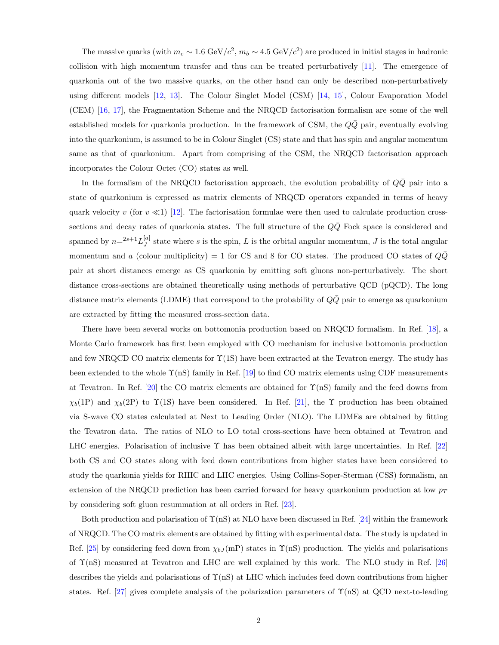The massive quarks (with  $m_c \sim 1.6 \text{ GeV}/c^2$ ,  $m_b \sim 4.5 \text{ GeV}/c^2$ ) are produced in initial stages in hadronic collision with high momentum transfer and thus can be treated perturbatively [11]. The emergence of quarkonia out of the two massive quarks, on the other hand can only be described non-perturbatively using different models [12, 13]. The Colour Singlet Model (CSM) [14, 15], Colour Evaporation Model (CEM) [16, 17], the Fragmentation Scheme and the NRQCD factorisation formalism are some of the well established models for quarkonia production. In the framework of CSM, the  $Q\bar{Q}$  pair, eventually evolving into the quarkonium, is assumed to be in Colour Singlet (CS) state and that has spin and angular momentum same as that of quarkonium. Apart from comprising of the CSM, the NRQCD factorisation approach incorporates the Colour Octet (CO) states as well.

In the formalism of the NRQCD factorisation approach, the evolution probability of  $Q\overline{Q}$  pair into a state of quarkonium is expressed as matrix elements of NRQCD operators expanded in terms of heavy quark velocity v (for  $v \ll 1$ ) [12]. The factorisation formulae were then used to calculate production crosssections and decay rates of quarkonia states. The full structure of the  $Q\bar{Q}$  Fock space is considered and spanned by  $n=2s+1}L^{[a]}_J$  $J_J^{[a]}$  state where s is the spin, L is the orbital angular momentum, J is the total angular momentum and a (colour multiplicity) = 1 for CS and 8 for CO states. The produced CO states of  $Q\bar{Q}$ pair at short distances emerge as CS quarkonia by emitting soft gluons non-perturbatively. The short distance cross-sections are obtained theoretically using methods of perturbative QCD (pQCD). The long distance matrix elements (LDME) that correspond to the probability of  $Q\overline{Q}$  pair to emerge as quarkonium are extracted by fitting the measured cross-section data.

There have been several works on bottomonia production based on NRQCD formalism. In Ref. [18], a Monte Carlo framework has first been employed with CO mechanism for inclusive bottomonia production and few NRQCD CO matrix elements for Υ(1S) have been extracted at the Tevatron energy. The study has been extended to the whole  $\Upsilon$ (nS) family in Ref. [19] to find CO matrix elements using CDF measurements at Tevatron. In Ref. [20] the CO matrix elements are obtained for  $\Upsilon(nS)$  family and the feed downs from  $\chi_b(1)$  and  $\chi_b(2)$  to  $\Upsilon(1)$  have been considered. In Ref. [21], the  $\Upsilon$  production has been obtained via S-wave CO states calculated at Next to Leading Order (NLO). The LDMEs are obtained by fitting the Tevatron data. The ratios of NLO to LO total cross-sections have been obtained at Tevatron and LHC energies. Polarisation of inclusive  $\Upsilon$  has been obtained albeit with large uncertainties. In Ref. [22] both CS and CO states along with feed down contributions from higher states have been considered to study the quarkonia yields for RHIC and LHC energies. Using Collins-Soper-Sterman (CSS) formalism, an extension of the NRQCD prediction has been carried forward for heavy quarkonium production at low  $p_T$ by considering soft gluon resummation at all orders in Ref. [23].

Both production and polarisation of  $\Upsilon(nS)$  at NLO have been discussed in Ref. [24] within the framework of NRQCD. The CO matrix elements are obtained by fitting with experimental data. The study is updated in Ref. [25] by considering feed down from  $\chi_{bJ}$  (mP) states in  $\Upsilon$ (nS) production. The yields and polarisations of Υ(nS) measured at Tevatron and LHC are well explained by this work. The NLO study in Ref. [26] describes the yields and polarisations of  $\Upsilon(nS)$  at LHC which includes feed down contributions from higher states. Ref. [27] gives complete analysis of the polarization parameters of  $\Upsilon(nS)$  at QCD next-to-leading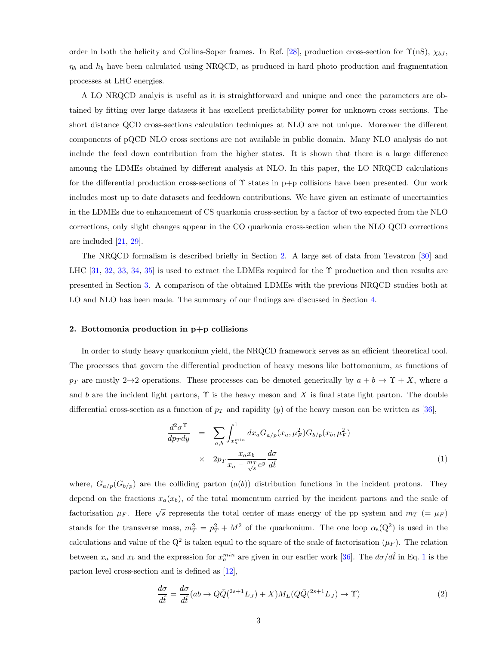order in both the helicity and Collins-Soper frames. In Ref. [28], production cross-section for  $\Upsilon(nS)$ ,  $\chi_{bJ}$ ,  $\eta_b$  and  $h_b$  have been calculated using NRQCD, as produced in hard photo production and fragmentation processes at LHC energies.

A LO NRQCD analyis is useful as it is straightforward and unique and once the parameters are obtained by fitting over large datasets it has excellent predictability power for unknown cross sections. The short distance QCD cross-sections calculation techniques at NLO are not unique. Moreover the different components of pQCD NLO cross sections are not available in public domain. Many NLO analysis do not include the feed down contribution from the higher states. It is shown that there is a large difference amoung the LDMEs obtained by different analysis at NLO. In this paper, the LO NRQCD calculations for the differential production cross-sections of  $\Upsilon$  states in p+p collisions have been presented. Our work includes most up to date datasets and feeddown contributions. We have given an estimate of uncertainties in the LDMEs due to enhancement of CS quarkonia cross-section by a factor of two expected from the NLO corrections, only slight changes appear in the CO quarkonia cross-section when the NLO QCD corrections are included [21, 29].

The NRQCD formalism is described briefly in Section 2. A large set of data from Tevatron [30] and LHC [31, 32, 33, 34, 35] is used to extract the LDMEs required for the  $\Upsilon$  production and then results are presented in Section 3. A comparison of the obtained LDMEs with the previous NRQCD studies both at LO and NLO has been made. The summary of our findings are discussed in Section 4.

#### 2. Bottomonia production in p+p collisions

In order to study heavy quarkonium yield, the NRQCD framework serves as an efficient theoretical tool. The processes that govern the differential production of heavy mesons like bottomonium, as functions of  $p_T$  are mostly 2→2 operations. These processes can be denoted generically by  $a + b \to \Upsilon + X$ , where a and b are the incident light partons,  $\Upsilon$  is the heavy meson and X is final state light parton. The double differential cross-section as a function of  $p_T$  and rapidity (y) of the heavy meson can be written as [36],

$$
\frac{d^2\sigma^{\Upsilon}}{dp_T dy} = \sum_{a,b} \int_{x_a^{min}}^1 dx_a G_{a/p}(x_a, \mu_F^2) G_{b/p}(x_b, \mu_F^2)
$$
\n
$$
\times 2p_T \frac{x_a x_b}{x_a - \frac{m_T}{\sqrt{s}} e^y} \frac{d\sigma}{d\hat{t}}
$$
\n(1)

where,  $G_{a/p}(G_{b/p})$  are the colliding parton  $(a(b))$  distribution functions in the incident protons. They depend on the fractions  $x_a(x_b)$ , of the total momentum carried by the incident partons and the scale of factorisation  $\mu_F$ . Here  $\sqrt{s}$  represents the total center of mass energy of the pp system and  $m_T$  (=  $\mu_F$ ) stands for the transverse mass,  $m_T^2 = p_T^2 + M^2$  of the quarkonium. The one loop  $\alpha_s(Q^2)$  is used in the calculations and value of the  $Q^2$  is taken equal to the square of the scale of factorisation  $(\mu_F)$ . The relation between  $x_a$  and  $x_b$  and the expression for  $x_a^{min}$  are given in our earlier work [36]. The  $d\sigma/d\hat{t}$  in Eq. 1 is the parton level cross-section and is defined as [12],

$$
\frac{d\sigma}{d\hat{t}} = \frac{d\sigma}{d\hat{t}}(ab \to Q\bar{Q}(2s+1}L_J) + X)M_L(Q\bar{Q}(2s+1}L_J) \to \Upsilon)
$$
\n(2)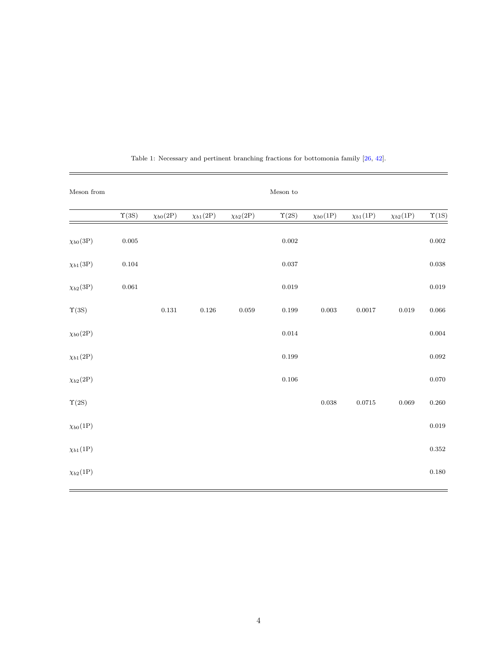| Meson from            |                |                       |                       |                 | $\operatorname{Meson}$ to |                       |                       |                       |                |
|-----------------------|----------------|-----------------------|-----------------------|-----------------|---------------------------|-----------------------|-----------------------|-----------------------|----------------|
|                       | $\Upsilon(3S)$ | $\chi_{b0}(2{\rm P})$ | $\chi_{b1}(2{\rm P})$ | $\chi_{b2}(2P)$ | $\Upsilon(2S)$            | $\chi_{b0}(1{\rm P})$ | $\chi_{b1}(1{\rm P})$ | $\chi_{b2}(1{\rm P})$ | $\Upsilon(1S)$ |
| $\chi_{b0}(3{\rm P})$ | $0.005\,$      |                       |                       |                 | $\,0.002\,$               |                       |                       |                       | $\rm 0.002$    |
| $\chi_{b1}(3{\rm P})$ | $\rm 0.104$    |                       |                       |                 | $\rm 0.037$               |                       |                       |                       | $\,0.038\,$    |
| $\chi_{b2}(3{\rm P})$ | $\,0.061\,$    |                       |                       |                 | $\rm 0.019$               |                       |                       |                       | $\rm 0.019$    |
| $\Upsilon(3S)$        |                | $0.131\,$             | 0.126                 | $\,0.059\,$     | $\rm 0.199$               | $\rm 0.003$           | 0.0017                | 0.019                 | $0.066\,$      |
| $\chi_{b0}(2P)$       |                |                       |                       |                 | $\,0.014\,$               |                       |                       |                       | $\,0.004\,$    |
| $\chi_{b1}(2{\rm P})$ |                |                       |                       |                 | $\rm 0.199$               |                       |                       |                       | $\,0.092\,$    |
| $\chi_{b2}(2P)$       |                |                       |                       |                 | $0.106\,$                 |                       |                       |                       | $0.070\,$      |
| $\Upsilon(2S)$        |                |                       |                       |                 |                           | $\,0.038\,$           | $0.0715\,$            | 0.069                 | $0.260\,$      |
| $\chi_{b0}(1{\rm P})$ |                |                       |                       |                 |                           |                       |                       |                       | $\rm 0.019$    |
| $\chi_{b1}(1{\rm P})$ |                |                       |                       |                 |                           |                       |                       |                       | $\rm 0.352$    |
| $\chi_{b2}(1{\rm P})$ |                |                       |                       |                 |                           |                       |                       |                       | $0.180\,$      |
|                       |                |                       |                       |                 |                           |                       |                       |                       |                |

Table 1: Necessary and pertinent branching fractions for bottomonia family [26, 42].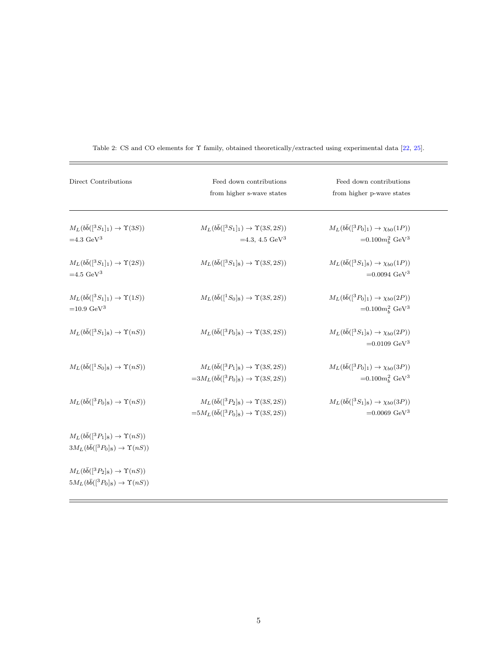| Direct Contributions                                                                                            | Feed down contributions<br>from higher s-wave states                                                           | Feed down contributions<br>from higher p-wave states                            |
|-----------------------------------------------------------------------------------------------------------------|----------------------------------------------------------------------------------------------------------------|---------------------------------------------------------------------------------|
| $M_L(b\bar{b}([{}^3S_1]_1) \rightarrow \Upsilon(3S))$                                                           | $M_L(b\bar{b}([{}^3S_1]_1) \to \Upsilon(3S,2S))$                                                               | $M_L(b\bar{b}([{}^3P_0]_1) \to \chi_{b0}(1P))$                                  |
| $=4.3 \text{ GeV}^3$                                                                                            | $=4.3, 4.5 \text{ GeV}^3$                                                                                      | $=0.100 m_h^2$ GeV <sup>3</sup>                                                 |
| $M_L(b\bar{b}([{}^3S_1]_1) \rightarrow \Upsilon(2S))$<br>$=4.5 \text{ GeV}^3$                                   | $M_L(b\bar{b}([{}^3S_1]_8) \to \Upsilon(3S,2S))$                                                               | $M_L(b\bar{b}([{}^3S_1]_8) \to \chi_{b0}(1P))$<br>$=0.0094 \text{ GeV}^3$       |
| $M_L(b\bar{b}([{}^3S_1]_1) \rightarrow \Upsilon(1S))$<br>$=10.9 \text{ GeV}^3$                                  | $M_L(b\bar{b}([{}^1S_0]_8) \to \Upsilon(3S,2S))$                                                               | $M_L(b\bar{b}([{}^3P_0]_1) \to \chi_{b0}(2P))$<br>$=0.100 m_h^2 \text{ GeV}^3$  |
| $M_L(b\bar{b}([{}^3S_1]_8) \rightarrow \Upsilon(nS))$                                                           | $M_L(b\bar{b}([{}^3P_0]_8) \to \Upsilon(3S, 2S))$                                                              | $M_L(b\bar{b}([{}^3S_1]_8) \to \chi_{b0}(2P))$<br>$=0.0109 \text{ GeV}^3$       |
| $M_L(b\bar{b}([{}^1S_0]_8) \rightarrow \Upsilon(nS))$                                                           | $M_L(b\bar{b}([{}^3P_1]_8) \to \Upsilon(3S,2S))$<br>$=3M_L(b\bar{b}([{}^3P_0]_8) \rightarrow \Upsilon(3S,2S))$ | $M_L(b\bar{b}([{}^3P_0]_1) \to \chi_{b0}(3P))$<br>$= 0.100 m_b^2 \text{ GeV}^3$ |
| $M_L(b\bar{b}([{}^3P_0]_8) \rightarrow \Upsilon(nS))$                                                           | $M_L(b\bar{b}([{}^3P_2]_8) \to \Upsilon(3S,2S))$<br>$=5M_L(b\bar{b}([{}^3P_0]_8) \rightarrow \Upsilon(3S,2S))$ | $M_L(b\bar{b}([{}^3S_1]_8) \to \chi_{b0}(3P))$<br>$=0.0069 \text{ GeV}^3$       |
| $M_L(b\bar{b}([{}^3P_1]_8) \rightarrow \Upsilon(nS))$<br>$3M_L(b\bar{b}([{}^3P_0]_8) \rightarrow \Upsilon(nS))$ |                                                                                                                |                                                                                 |
| $M_L(b\bar{b}([{}^3P_2]_8) \rightarrow \Upsilon(nS))$<br>$5M_L(b\bar{b}([{}^3P_0]_8) \rightarrow \Upsilon(nS))$ |                                                                                                                |                                                                                 |

Table 2: CS and CO elements for  $\Upsilon$  family, obtained theoretically/extracted using experimental data [22, 25].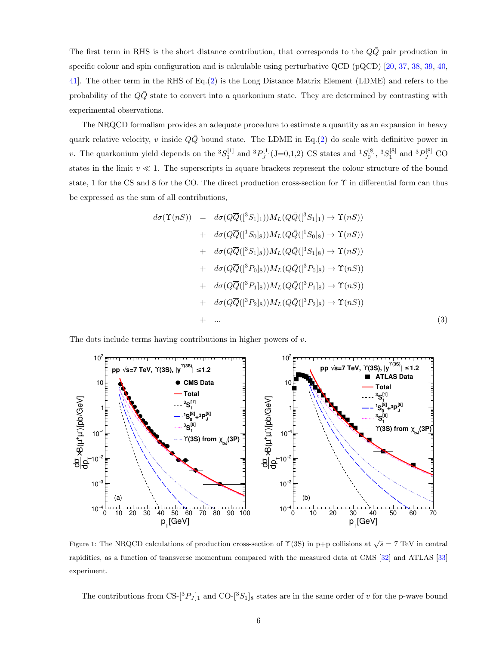The first term in RHS is the short distance contribution, that corresponds to the  $QQ$  pair production in specific colour and spin configuration and is calculable using perturbative QCD (pQCD) [20, 37, 38, 39, 40, 41]. The other term in the RHS of Eq.(2) is the Long Distance Matrix Element (LDME) and refers to the probability of the  $Q\bar{Q}$  state to convert into a quarkonium state. They are determined by contrasting with experimental observations.

The NRQCD formalism provides an adequate procedure to estimate a quantity as an expansion in heavy quark relative velocity, v inside  $Q\bar{Q}$  bound state. The LDME in Eq.(2) do scale with definitive power in v. The quarkonium yield depends on the  ${}^{3}S_{1}^{[1]}$  and  ${}^{3}P_{J}^{[1]}$  $J_J^{[1]}(J=0,1,2)$  CS states and  ${}^{1}S_0^{[8]}, {}^{3}S_1^{[8]}$  and  ${}^{3}P_J^{[8]}$  CO states in the limit  $v \ll 1$ . The superscripts in square brackets represent the colour structure of the bound state, 1 for the CS and 8 for the CO. The direct production cross-section for Υ in differential form can thus be expressed as the sum of all contributions,

$$
d\sigma(\Upsilon(nS)) = d\sigma(Q\overline{Q}([{}^3S_1]_1))M_L(Q\overline{Q}([{}^3S_1]_1) \to \Upsilon(nS))
$$
  
+ 
$$
d\sigma(Q\overline{Q}([{}^1S_0]_8))M_L(Q\overline{Q}([{}^1S_0]_8) \to \Upsilon(nS))
$$
  
+ 
$$
d\sigma(Q\overline{Q}([{}^3S_1]_8))M_L(Q\overline{Q}([{}^3S_1]_8) \to \Upsilon(nS))
$$
  
+ 
$$
d\sigma(Q\overline{Q}([{}^3P_0]_8))M_L(Q\overline{Q}([{}^3P_0]_8) \to \Upsilon(nS))
$$
  
+ 
$$
d\sigma(Q\overline{Q}([{}^3P_1]_8))M_L(Q\overline{Q}([{}^3P_1]_8) \to \Upsilon(nS))
$$
  
+ 
$$
d\sigma(Q\overline{Q}([{}^3P_2]_8))M_L(Q\overline{Q}([{}^3P_2]_8) \to \Upsilon(nS))
$$
  
+ ... (3)

The dots include terms having contributions in higher powers of  $v$ .



Figure 1: The NRQCD calculations of production cross-section of  $\Upsilon(3S)$  in p+p collisions at  $\sqrt{s} = 7$  TeV in central rapidities, as a function of transverse momentum compared with the measured data at CMS [32] and ATLAS [33] experiment.

The contributions from CS- $[{}^3P_J]_1$  and CO- $[{}^3S_1]_8$  states are in the same order of v for the p-wave bound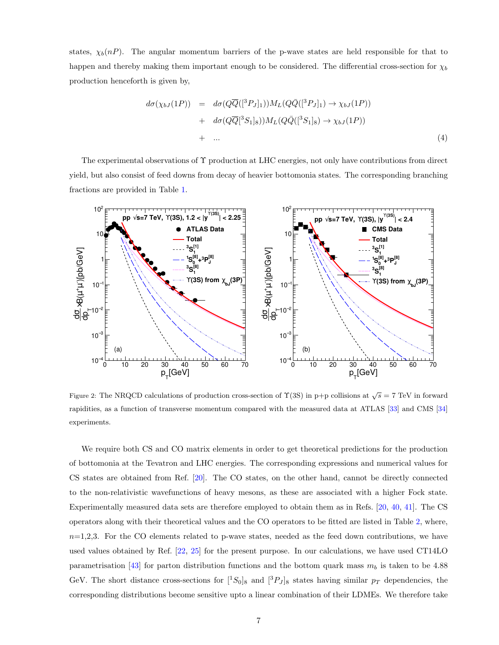states,  $\chi_b(n)$ . The angular momentum barriers of the p-wave states are held responsible for that to happen and thereby making them important enough to be considered. The differential cross-section for  $\chi_b$ production henceforth is given by,

$$
d\sigma(\chi_{bJ}(1P)) = d\sigma(Q\overline{Q}([{}^3P_J]_1))M_L(Q\overline{Q}([{}^3P_J]_1) \to \chi_{bJ}(1P))
$$
  
+ 
$$
d\sigma(Q\overline{Q}[^3S_1]_8))M_L(Q\overline{Q}([{}^3S_1]_8) \to \chi_{bJ}(1P))
$$
  
+ ... (4)

The experimental observations of Υ production at LHC energies, not only have contributions from direct yield, but also consist of feed downs from decay of heavier bottomonia states. The corresponding branching fractions are provided in Table 1.



Figure 2: The NRQCD calculations of production cross-section of  $\Upsilon(3S)$  in p+p collisions at  $\sqrt{s} = 7$  TeV in forward rapidities, as a function of transverse momentum compared with the measured data at ATLAS [33] and CMS [34] experiments.

We require both CS and CO matrix elements in order to get theoretical predictions for the production of bottomonia at the Tevatron and LHC energies. The corresponding expressions and numerical values for CS states are obtained from Ref. [20]. The CO states, on the other hand, cannot be directly connected to the non-relativistic wavefunctions of heavy mesons, as these are associated with a higher Fock state. Experimentally measured data sets are therefore employed to obtain them as in Refs. [20, 40, 41]. The CS operators along with their theoretical values and the CO operators to be fitted are listed in Table 2, where,  $n=1,2,3$ . For the CO elements related to p-wave states, needed as the feed down contributions, we have used values obtained by Ref. [22, 25] for the present purpose. In our calculations, we have used CT14LO parametrisation [43] for parton distribution functions and the bottom quark mass  $m_b$  is taken to be 4.88 GeV. The short distance cross-sections for  $[^1S_0]_8$  and  $[^3P_J]_8$  states having similar  $p_T$  dependencies, the corresponding distributions become sensitive upto a linear combination of their LDMEs. We therefore take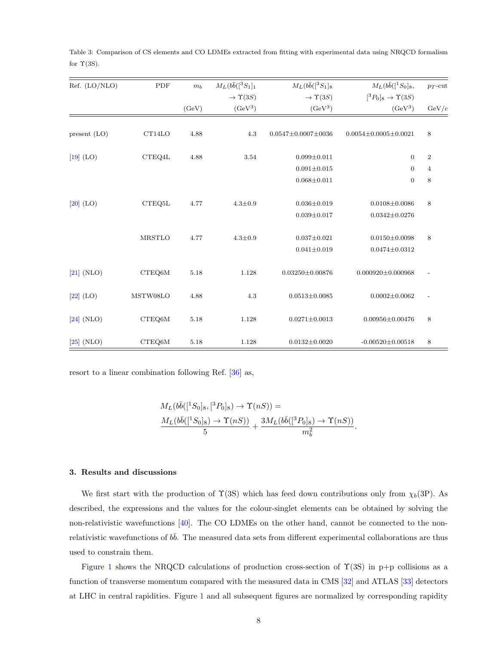| Ref. (LO/NLO)  | PDF           | $m_b$ | $M_L(b\bar{b}([{}^3S_1]_1$ | $M_L(b\bar{b}([{}^3S_1]_8$   | $M_L(b\bar{b}([{}^1S_0]_8,$            | $p_T$ -cut     |
|----------------|---------------|-------|----------------------------|------------------------------|----------------------------------------|----------------|
|                |               |       | $\rightarrow \Upsilon(3S)$ | $\rightarrow \Upsilon(3S)$   | $[{}^3P_0]_8 \rightarrow \Upsilon(3S)$ |                |
|                |               | (GeV) | $(GeV^3)$                  | $(GeV^3)$                    | $(GeV^3)$                              | GeV/c          |
|                |               |       |                            |                              |                                        |                |
| present $(LO)$ | CT14LO        | 4.88  | 4.3                        | $0.0547 \pm 0.0007 \pm 0036$ | $0.0054 \pm 0.0005 \pm 0.0021$         | 8              |
| $[19]$ (LO)    | CTEQ4L        | 4.88  | 3.54                       | $0.099 \pm 0.011$            | $\boldsymbol{0}$                       | $\,2$          |
|                |               |       |                            | $0.091 \pm 0.015$            | $\mathbf{0}$                           | $\overline{4}$ |
|                |               |       |                            | $0.068 \pm 0.011$            | $\boldsymbol{0}$                       | $\,8\,$        |
|                |               |       |                            |                              |                                        |                |
| $[20]$ (LO)    | CTEQ5L        | 4.77  | $4.3 \pm 0.9$              | $0.036 \pm 0.019$            | $0.0108 \pm 0.0086$                    | $\,8\,$        |
|                |               |       |                            | $0.039 \pm 0.017$            | $0.0342 \pm 0.0276$                    |                |
|                |               |       |                            |                              |                                        |                |
|                | <b>MRSTLO</b> | 4.77  | $4.3 \pm 0.9$              | $0.037 \pm 0.021$            | $0.0150 \pm 0.0098$                    | $\,8\,$        |
|                |               |       |                            | $0.041 \pm 0.019$            | $0.0474 \pm 0.0312$                    |                |
|                |               |       |                            |                              |                                        |                |
| $[21]$ (NLO)   | CTEQ6M        | 5.18  | 1.128                      | $0.03250 \pm 0.00876$        | $0.000920 \pm 0.000968$                |                |
| $[22]$ (LO)    | MSTW08LO      | 4.88  | 4.3                        | $0.0513 \pm 0.0085$          | $0.0002 \pm 0.0062$                    |                |
|                |               |       |                            |                              |                                        |                |
| $[24]$ (NLO)   | CTEQ6M        | 5.18  | 1.128                      | $0.0271 \pm 0.0013$          | $0.00956 \pm 0.00476$                  | $\,8\,$        |
|                |               |       |                            |                              |                                        |                |
| $[25]$ (NLO)   | CTEQ6M        | 5.18  | 1.128                      | $0.0132 \pm 0.0020$          | $-0.00520 \pm 0.00518$                 | 8              |

Table 3: Comparison of CS elements and CO LDMEs extracted from fitting with experimental data using NRQCD formalism for  $\Upsilon(3S)$ .

resort to a linear combination following Ref. [36] as,

$$
M_L(b\bar{b}([{}^1S_0]_8, [{}^3P_0]_8) \to \Upsilon(nS)) =
$$
  

$$
\frac{M_L(b\bar{b}([{}^1S_0]_8) \to \Upsilon(nS))}{5} + \frac{3M_L(b\bar{b}([{}^3P_0]_8) \to \Upsilon(nS))}{m_b^2}.
$$

## 3. Results and discussions

We first start with the production of  $\Upsilon(3S)$  which has feed down contributions only from  $\chi_b(3P)$ . As described, the expressions and the values for the colour-singlet elements can be obtained by solving the non-relativistic wavefunctions [40]. The CO LDMEs on the other hand, cannot be connected to the nonrelativistic wavefunctions of  $b\bar{b}$ . The measured data sets from different experimental collaborations are thus used to constrain them.

Figure 1 shows the NRQCD calculations of production cross-section of  $\Upsilon(3S)$  in p+p collisions as a function of transverse momentum compared with the measured data in CMS [32] and ATLAS [33] detectors at LHC in central rapidities. Figure 1 and all subsequent figures are normalized by corresponding rapidity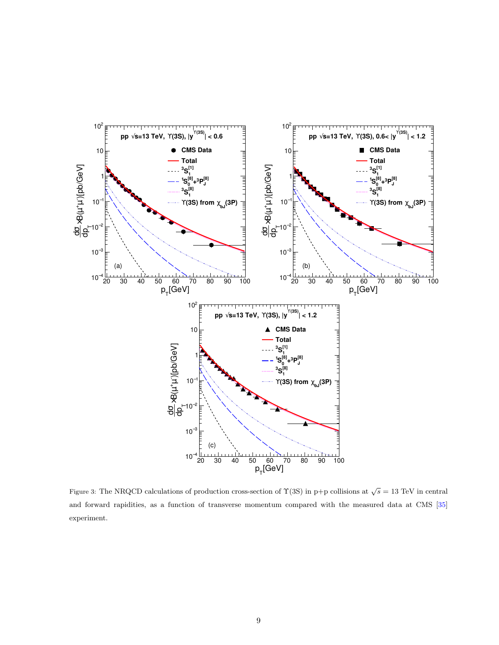

Figure 3: The NRQCD calculations of production cross-section of  $\Upsilon(3S)$  in p+p collisions at  $\sqrt{s} = 13$  TeV in central and forward rapidities, as a function of transverse momentum compared with the measured data at CMS [35] experiment.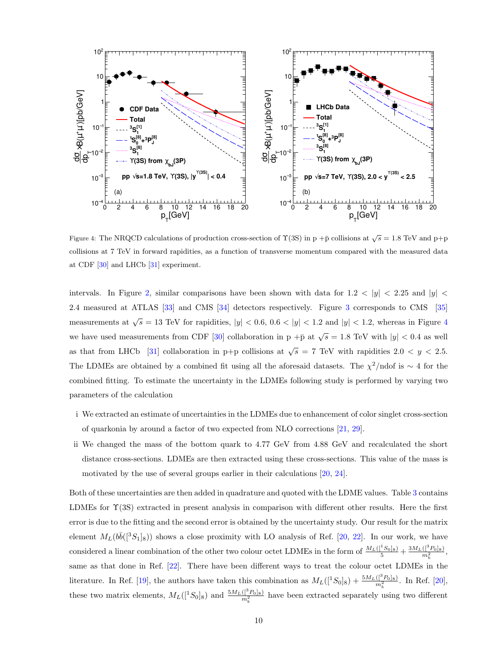

Figure 4: The NRQCD calculations of production cross-section of  $\Upsilon(3S)$  in p +p collisions at  $\sqrt{s} = 1.8$  TeV and p+p collisions at 7 TeV in forward rapidities, as a function of transverse momentum compared with the measured data at CDF [30] and LHCb [31] experiment.

intervals. In Figure 2, similar comparisons have been shown with data for  $1.2 < |y| < 2.25$  and  $|y| <$ 2.4 measured at ATLAS [33] and CMS [34] detectors respectively. Figure 3 corresponds to CMS [35] measurements at  $\sqrt{s} = 13$  TeV for rapidities,  $|y| < 0.6$ ,  $0.6 < |y| < 1.2$  and  $|y| < 1.2$ , whereas in Figure 4 we have used measurements from CDF [30] collaboration in p + $\bar{p}$  at  $\sqrt{s} = 1.8$  TeV with  $|y| < 0.4$  as well as that from LHCb [31] collaboration in p+p collisions at  $\sqrt{s} = 7$  TeV with rapidities  $2.0 < y < 2.5$ . The LDMEs are obtained by a combined fit using all the aforesaid datasets. The  $\chi^2$ /ndof is ∼ 4 for the combined fitting. To estimate the uncertainty in the LDMEs following study is performed by varying two parameters of the calculation

- i We extracted an estimate of uncertainties in the LDMEs due to enhancement of color singlet cross-section of quarkonia by around a factor of two expected from NLO corrections [21, 29].
- ii We changed the mass of the bottom quark to 4.77 GeV from 4.88 GeV and recalculated the short distance cross-sections. LDMEs are then extracted using these cross-sections. This value of the mass is motivated by the use of several groups earlier in their calculations [20, 24].

Both of these uncertainties are then added in quadrature and quoted with the LDME values. Table 3 contains LDMEs for  $\Upsilon(3S)$  extracted in present analysis in comparison with different other results. Here the first error is due to the fitting and the second error is obtained by the uncertainty study. Our result for the matrix element  $M_L(b\bar{b}([{}^3S_1]_8))$  shows a close proximity with LO analysis of Ref. [20, 22]. In our work, we have considered a linear combination of the other two colour octet LDMEs in the form of  $\frac{M_L([{}^1S_0]_8)}{5} + \frac{3M_L([{}^1S_0]_8)}{m_h^2}$  $\frac{(1 - F_0)8j}{m_b^2},$ same as that done in Ref. [22]. There have been different ways to treat the colour octet LDMEs in the literature. In Ref. [19], the authors have taken this combination as  $M_L($ [<sup>1</sup> $S_0$ ]<sub>8</sub> $) + \frac{5M_L($ [ $^3P_0]_8)}{m_b^2}$ . In Ref. [20], these two matrix elements,  $M_L([{}^1S_0]_8)$  and  $\frac{5M_L([{}^3P_0]_8)}{m_b^2}$  have been extracted separately using two different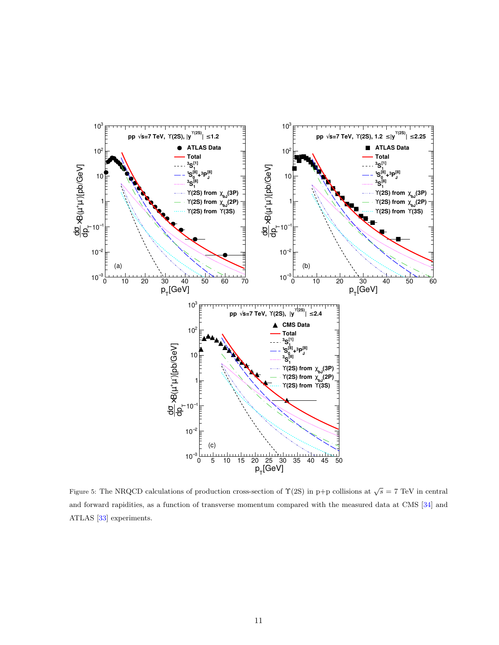

Figure 5: The NRQCD calculations of production cross-section of  $\Upsilon(2S)$  in p+p collisions at  $\sqrt{s} = 7$  TeV in central and forward rapidities, as a function of transverse momentum compared with the measured data at CMS [34] and ATLAS [33] experiments.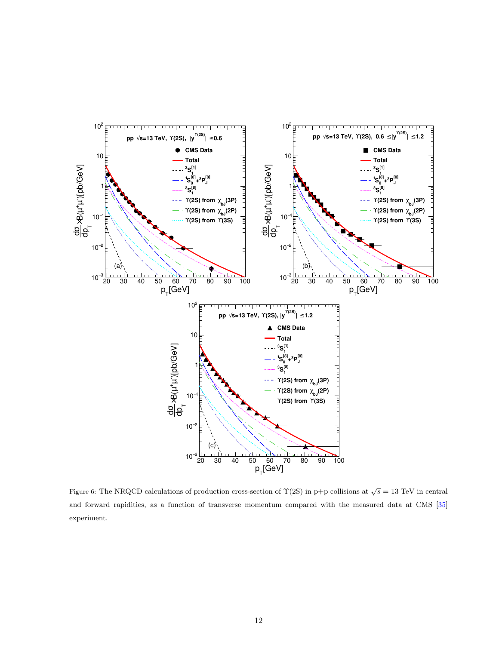

Figure 6: The NRQCD calculations of production cross-section of  $\Upsilon(2S)$  in p+p collisions at  $\sqrt{s} = 13$  TeV in central and forward rapidities, as a function of transverse momentum compared with the measured data at CMS [35] experiment.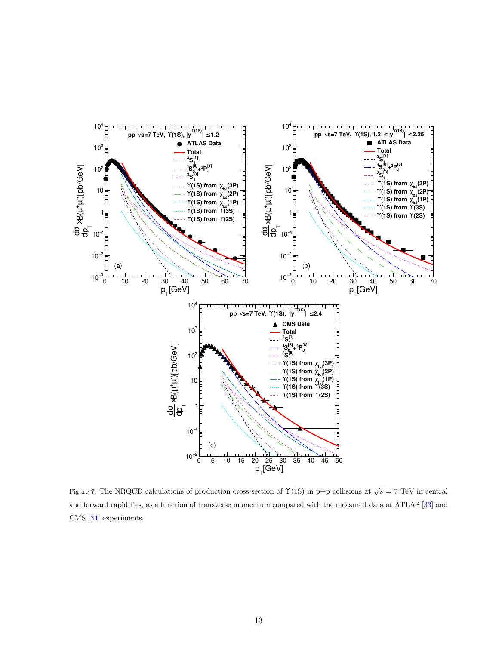

Figure 7: The NRQCD calculations of production cross-section of  $\Upsilon(1S)$  in p+p collisions at  $\sqrt{s} = 7$  TeV in central and forward rapidities, as a function of transverse momentum compared with the measured data at ATLAS [33] and CMS [34] experiments.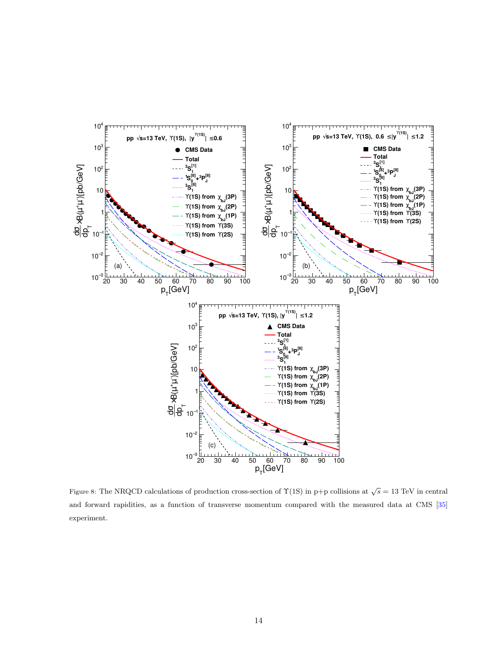

Figure 8: The NRQCD calculations of production cross-section of  $\Upsilon(1S)$  in p+p collisions at  $\sqrt{s} = 13$  TeV in central and forward rapidities, as a function of transverse momentum compared with the measured data at CMS [35] experiment.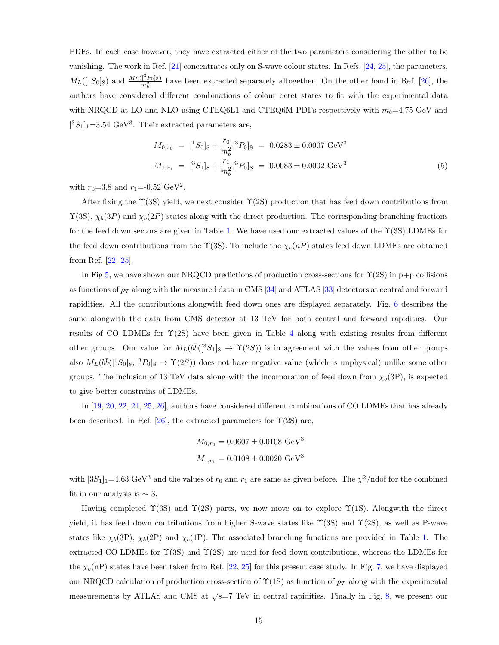PDFs. In each case however, they have extracted either of the two parameters considering the other to be vanishing. The work in Ref. [21] concentrates only on S-wave colour states. In Refs. [24, 25], the parameters,  $M_L([{}^1S_0]_8)$  and  $\frac{M_L([{}^3P_0]_8)}{m_b^2}$  have been extracted separately altogether. On the other hand in Ref. [26], the authors have considered different combinations of colour octet states to fit with the experimental data with NRQCD at LO and NLO using CTEQ6L1 and CTEQ6M PDFs respectively with  $m_b=4.75$  GeV and  $[^3S_1]_1 = 3.54 \text{ GeV}^3$ . Their extracted parameters are,

$$
M_{0,r_0} = [{}^1S_0]_8 + \frac{r_0}{m_b^2} [{}^3P_0]_8 = 0.0283 \pm 0.0007 \text{ GeV}^3
$$
  

$$
M_{1,r_1} = [{}^3S_1]_8 + \frac{r_1}{m_b^2} [{}^3P_0]_8 = 0.0083 \pm 0.0002 \text{ GeV}^3
$$
 (5)

with  $r_0 = 3.8$  and  $r_1 = -0.52 \text{ GeV}^2$ .

After fixing the  $\Upsilon(3S)$  yield, we next consider  $\Upsilon(2S)$  production that has feed down contributions from  $\Upsilon(3S)$ ,  $\chi_b(3P)$  and  $\chi_b(2P)$  states along with the direct production. The corresponding branching fractions for the feed down sectors are given in Table 1. We have used our extracted values of the  $\Upsilon(3S)$  LDMEs for the feed down contributions from the  $\Upsilon(3S)$ . To include the  $\chi_b(n)$  states feed down LDMEs are obtained from Ref. [22, 25].

In Fig 5, we have shown our NRQCD predictions of production cross-sections for  $\Upsilon(2S)$  in p+p collisions as functions of  $p_T$  along with the measured data in CMS [34] and ATLAS [33] detectors at central and forward rapidities. All the contributions alongwith feed down ones are displayed separately. Fig. 6 describes the same alongwith the data from CMS detector at 13 TeV for both central and forward rapidities. Our results of CO LDMEs for  $\Upsilon(2S)$  have been given in Table 4 along with existing results from different other groups. Our value for  $M_L(b\bar{b}([{}^3S_1]_8 \rightarrow \Upsilon(2S))$  is in agreement with the values from other groups also  $M_L(b\bar{b}([{}^1S_0]_8, [{}^3P_0]_8 \to \Upsilon(2S))$  does not have negative value (which is unphysical) unlike some other groups. The inclusion of 13 TeV data along with the incorporation of feed down from  $\chi_b(3P)$ , is expected to give better constrains of LDMEs.

In [19, 20, 22, 24, 25, 26], authors have considered different combinations of CO LDMEs that has already been described. In Ref. [26], the extracted parameters for  $\Upsilon(2S)$  are,

$$
M_{0,r_0} = 0.0607 \pm 0.0108 \text{ GeV}^3
$$
  

$$
M_{1,r_1} = 0.0108 \pm 0.0020 \text{ GeV}^3
$$

with  $[3S_1]_1=4.63 \text{ GeV}^3$  and the values of  $r_0$  and  $r_1$  are same as given before. The  $\chi^2$ /ndof for the combined fit in our analysis is  $\sim 3$ .

Having completed  $\Upsilon(3S)$  and  $\Upsilon(2S)$  parts, we now move on to explore  $\Upsilon(1S)$ . Alongwith the direct yield, it has feed down contributions from higher S-wave states like  $\Upsilon(3S)$  and  $\Upsilon(2S)$ , as well as P-wave states like  $\chi_b(3P)$ ,  $\chi_b(2P)$  and  $\chi_b(1P)$ . The associated branching functions are provided in Table 1. The extracted CO-LDMEs for  $\Upsilon(3S)$  and  $\Upsilon(2S)$  are used for feed down contributions, whereas the LDMEs for the  $\chi_b(n)$  states have been taken from Ref. [22, 25] for this present case study. In Fig. 7, we have displayed our NRQCD calculation of production cross-section of  $\Upsilon(1S)$  as function of  $p_T$  along with the experimental measurements by ATLAS and CMS at  $\sqrt{s}$ =7 TeV in central rapidities. Finally in Fig. 8, we present our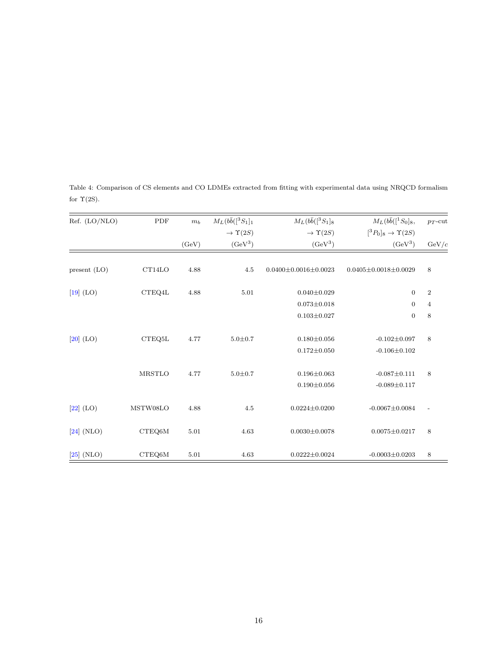| Ref. (LO/NLO) | PDF           | $m_b$ | $M_L(b\bar{b}([{}^3S_1]_1$   | $M_L(b\bar{b}([{}^3S_1]_8)$    | $M_L(b\bar{b}([{}^1S_0]_8,$          | $p_T$ -cut     |
|---------------|---------------|-------|------------------------------|--------------------------------|--------------------------------------|----------------|
|               |               |       | $\rightarrow$ $\Upsilon(2S)$ | $\rightarrow$ $\Upsilon(2S)$   | $[^3P_0]_8 \rightarrow \Upsilon(2S)$ |                |
|               |               | (GeV) | $(GeV^3)$                    | $(GeV^3)$                      | $(GeV^3)$                            | GeV/c          |
| present (LO)  | CT14LO        | 4.88  | 4.5                          | $0.0400 \pm 0.0016 \pm 0.0023$ | $0.0405 \pm 0.0018 \pm 0.0029$       | 8              |
| $[19]$ (LO)   | CTEQ4L        | 4.88  | 5.01                         | $0.040 \pm 0.029$              | $\boldsymbol{0}$                     | $\overline{2}$ |
|               |               |       |                              | $0.073 \pm 0.018$              | $\boldsymbol{0}$                     | $\overline{4}$ |
|               |               |       |                              | $0.103 \pm 0.027$              | $\boldsymbol{0}$                     | $\,8\,$        |
| $[20]$ (LO)   | CTEQ5L        | 4.77  | $5.0 + 0.7$                  | $0.180 \pm 0.056$              | $-0.102 \pm 0.097$                   | 8              |
|               |               |       |                              | $0.172 \pm 0.050$              | $-0.106 \pm 0.102$                   |                |
|               | <b>MRSTLO</b> | 4.77  | $5.0 + 0.7$                  | $0.196 \pm 0.063$              | $-0.087 \pm 0.111$                   | 8              |
|               |               |       |                              | $0.190 \pm 0.056$              | $-0.089 \pm 0.117$                   |                |
| $[22]$ (LO)   | MSTW08LO      | 4.88  | 4.5                          | $0.0224 \pm 0.0200$            | $-0.0067 \pm 0.0084$                 |                |
| $[24]$ (NLO)  | CTEQ6M        | 5.01  | 4.63                         | $0.0030 \pm 0.0078$            | $0.0075 \pm 0.0217$                  | 8              |
| $[25]$ (NLO)  | CTEQ6M        | 5.01  | 4.63                         | $0.0222 \pm 0.0024$            | $-0.0003 \pm 0.0203$                 | 8              |

Table 4: Comparison of CS elements and CO LDMEs extracted from fitting with experimental data using NRQCD formalism for  $\Upsilon(2S)$ .

 $\equiv$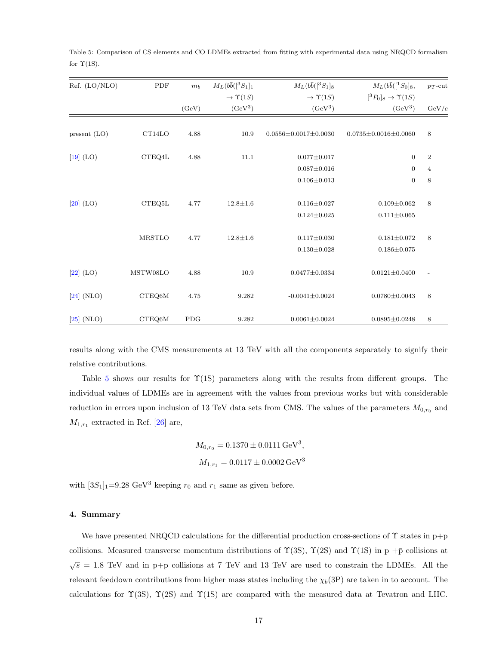| Ref. (LO/NLO)  | PDF            | $m_b$      | $M_L(b\bar{b}([{}^3S_1]_1$   | $M_L(b\bar{b}([{}^3S_1]_8)$    | $M_L(b\bar{b}([{}^1S_0]_8,$            | $p_T$ -cut     |
|----------------|----------------|------------|------------------------------|--------------------------------|----------------------------------------|----------------|
|                |                |            | $\rightarrow$ $\Upsilon(1S)$ | $\rightarrow \Upsilon(1S)$     | $[{}^3P_0]_8 \rightarrow \Upsilon(1S)$ |                |
|                |                | (GeV)      | $(GeV^3)$                    | $(GeV^3)$                      | $(GeV^3)$                              | GeV/c          |
| present $(LO)$ | CT14LO         | 4.88       | 10.9                         | $0.0556 \pm 0.0017 \pm 0.0030$ | $0.0735 \pm 0.0016 \pm 0.0060$         | 8              |
|                |                |            |                              |                                |                                        |                |
| $[19]$ (LO)    | CTEQ4L         | 4.88       | 11.1                         | $0.077 \pm 0.017$              | $\mathbf{0}$                           | $\sqrt{2}$     |
|                |                |            |                              | $0.087 \pm 0.016$              | $\boldsymbol{0}$                       | $\overline{4}$ |
|                |                |            |                              | $0.106 \pm 0.013$              | $\boldsymbol{0}$                       | 8              |
|                |                |            |                              |                                |                                        |                |
| $[20]$ (LO)    | CTEQ5L         | 4.77       | $12.8 \pm 1.6$               | $0.116 \pm 0.027$              | $0.109 \pm 0.062$                      | 8              |
|                |                |            |                              | $0.124 \pm 0.025$              | $0.111 \pm 0.065$                      |                |
|                | <b>MRSTLO</b>  | 4.77       | $12.8 \pm 1.6$               | $0.117 \pm 0.030$              | $0.181 \pm 0.072$                      | 8              |
|                |                |            |                              | $0.130 \pm 0.028$              | $0.186 \pm 0.075$                      |                |
|                |                |            |                              |                                |                                        |                |
| $[22]$ (LO)    | MSTW08LO       | 4.88       | 10.9                         | $0.0477 \pm 0.0334$            | $0.0121 \pm 0.0400$                    |                |
|                |                |            |                              |                                |                                        |                |
| $[24]$ (NLO)   | ${\rm CTEQ6M}$ | 4.75       | 9.282                        | $-0.0041 \pm 0.0024$           | $0.0780 \pm 0.0043$                    | 8              |
| $[25]$ (NLO)   | CTEQ6M         | <b>PDG</b> | 9.282                        | $0.0061 \pm 0.0024$            | $0.0895 \pm 0.0248$                    | $\,$ 8 $\,$    |
|                |                |            |                              |                                |                                        |                |

Table 5: Comparison of CS elements and CO LDMEs extracted from fitting with experimental data using NRQCD formalism for  $\Upsilon(1S)$ .

results along with the CMS measurements at 13 TeV with all the components separately to signify their relative contributions.

Table 5 shows our results for  $\Upsilon(1S)$  parameters along with the results from different groups. The individual values of LDMEs are in agreement with the values from previous works but with considerable reduction in errors upon inclusion of 13 TeV data sets from CMS. The values of the parameters  $M_{0,r_0}$  and  $M_{1,r_1}$  extracted in Ref. [26] are,

$$
M_{0,r_0} = 0.1370 \pm 0.0111 \,\text{GeV}^3,
$$
  

$$
M_{1,r_1} = 0.0117 \pm 0.0002 \,\text{GeV}^3
$$

with  $[3S_1]_1=9.28 \text{ GeV}^3$  keeping  $r_0$  and  $r_1$  same as given before.

## 4. Summary

We have presented NRQCD calculations for the differential production cross-sections of  $\Upsilon$  states in p+p collisions. Measured transverse momentum distributions of  $\Upsilon(3S)$ ,  $\Upsilon(2S)$  and  $\Upsilon(1S)$  in p + $\bar{p}$  collisions at  $\sqrt{s}$  = 1.8 TeV and in p+p collisions at 7 TeV and 13 TeV are used to constrain the LDMEs. All the relevant feeddown contributions from higher mass states including the  $\chi_b(3P)$  are taken in to account. The calculations for  $\Upsilon(3S)$ ,  $\Upsilon(2S)$  and  $\Upsilon(1S)$  are compared with the measured data at Tevatron and LHC.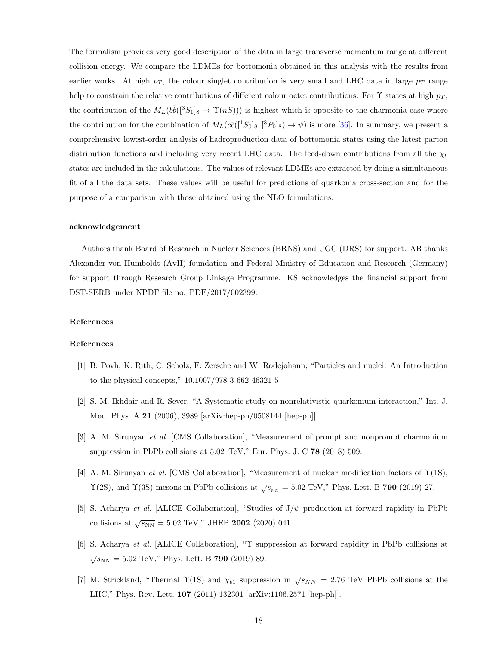The formalism provides very good description of the data in large transverse momentum range at different collision energy. We compare the LDMEs for bottomonia obtained in this analysis with the results from earlier works. At high  $p<sub>T</sub>$ , the colour singlet contribution is very small and LHC data in large  $p<sub>T</sub>$  range help to constrain the relative contributions of different colour octet contributions. For  $\Upsilon$  states at high  $p_T$ , the contribution of the  $M_L(b\bar{b}([{}^3S_1]_8 \to \Upsilon(nS)))$  is highest which is opposite to the charmonia case where the contribution for the combination of  $M_L(c\bar{c}([{}^1S_0]_8, [{}^3P_0]_8) \to \psi)$  is more [36]. In summary, we present a comprehensive lowest-order analysis of hadroproduction data of bottomonia states using the latest parton distribution functions and including very recent LHC data. The feed-down contributions from all the  $\chi_b$ states are included in the calculations. The values of relevant LDMEs are extracted by doing a simultaneous fit of all the data sets. These values will be useful for predictions of quarkonia cross-section and for the purpose of a comparison with those obtained using the NLO formulations.

#### acknowledgement

Authors thank Board of Research in Nuclear Sciences (BRNS) and UGC (DRS) for support. AB thanks Alexander von Humboldt (AvH) foundation and Federal Ministry of Education and Research (Germany) for support through Research Group Linkage Programme. KS acknowledges the financial support from DST-SERB under NPDF file no. PDF/2017/002399.

## References

#### References

- [1] B. Povh, K. Rith, C. Scholz, F. Zersche and W. Rodejohann, "Particles and nuclei: An Introduction to the physical concepts," 10.1007/978-3-662-46321-5
- [2] S. M. Ikhdair and R. Sever, "A Systematic study on nonrelativistic quarkonium interaction," Int. J. Mod. Phys. A 21 (2006), 3989 [arXiv:hep-ph/0508144 [hep-ph]].
- [3] A. M. Sirunyan *et al.* [CMS Collaboration], "Measurement of prompt and nonprompt charmonium suppression in PbPb collisions at 5.02 TeV," Eur. Phys. J. C 78 (2018) 509.
- [4] A. M. Sirunyan *et al.* [CMS Collaboration], "Measurement of nuclear modification factors of Υ(1S),  $\Upsilon(2S)$ , and  $\Upsilon(3S)$  mesons in PbPb collisions at  $\sqrt{s_{_{NN}}}$  = 5.02 TeV," Phys. Lett. B 790 (2019) 27.
- [5] S. Acharya *et al.* [ALICE Collaboration], "Studies of J/ψ production at forward rapidity in PbPb collisions at  $\sqrt{s_{NN}} = 5.02 \text{ TeV}$ ," JHEP 2002 (2020) 041.
- [6] S. Acharya *et al.* [ALICE Collaboration], "Υ suppression at forward rapidity in PbPb collisions at  $\sqrt{s_{NN}} = 5.02 \text{ TeV}$ ," Phys. Lett. B **790** (2019) 89.
- [7] M. Strickland, "Thermal  $\Upsilon(1S)$  and  $\chi_{b1}$  suppression in  $\sqrt{s_{NN}} = 2.76$  TeV PbPb collisions at the LHC," Phys. Rev. Lett. 107 (2011) 132301 [arXiv:1106.2571 [hep-ph]].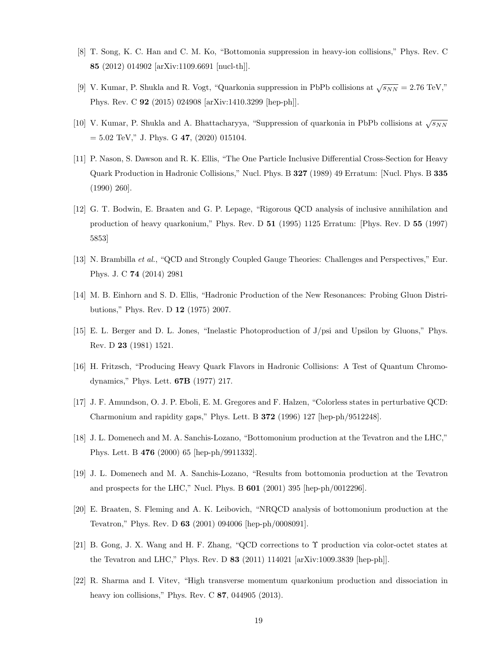- [8] T. Song, K. C. Han and C. M. Ko, "Bottomonia suppression in heavy-ion collisions," Phys. Rev. C 85 (2012) 014902 [arXiv:1109.6691 [nucl-th]].
- [9] V. Kumar, P. Shukla and R. Vogt, "Quarkonia suppression in PbPb collisions at  $\sqrt{s_{NN}} = 2.76 \text{ TeV}$ ," Phys. Rev. C 92 (2015) 024908 [arXiv:1410.3299 [hep-ph]].
- [10] V. Kumar, P. Shukla and A. Bhattacharyya, "Suppression of quarkonia in PbPb collisions at  $\sqrt{s_{NN}}$  $= 5.02$  TeV," J. Phys. G 47, (2020) 015104.
- [11] P. Nason, S. Dawson and R. K. Ellis, "The One Particle Inclusive Differential Cross-Section for Heavy Quark Production in Hadronic Collisions," Nucl. Phys. B 327 (1989) 49 Erratum: [Nucl. Phys. B 335 (1990) 260].
- [12] G. T. Bodwin, E. Braaten and G. P. Lepage, "Rigorous QCD analysis of inclusive annihilation and production of heavy quarkonium," Phys. Rev. D 51 (1995) 1125 Erratum: [Phys. Rev. D 55 (1997) 5853]
- [13] N. Brambilla *et al.*, "QCD and Strongly Coupled Gauge Theories: Challenges and Perspectives," Eur. Phys. J. C 74 (2014) 2981
- [14] M. B. Einhorn and S. D. Ellis, "Hadronic Production of the New Resonances: Probing Gluon Distributions," Phys. Rev. D 12 (1975) 2007.
- [15] E. L. Berger and D. L. Jones, "Inelastic Photoproduction of J/psi and Upsilon by Gluons," Phys. Rev. D 23 (1981) 1521.
- [16] H. Fritzsch, "Producing Heavy Quark Flavors in Hadronic Collisions: A Test of Quantum Chromodynamics," Phys. Lett. 67B (1977) 217.
- [17] J. F. Amundson, O. J. P. Eboli, E. M. Gregores and F. Halzen, "Colorless states in perturbative QCD: Charmonium and rapidity gaps," Phys. Lett. B 372 (1996) 127 [hep-ph/9512248].
- [18] J. L. Domenech and M. A. Sanchis-Lozano, "Bottomonium production at the Tevatron and the LHC," Phys. Lett. B 476 (2000) 65 [hep-ph/9911332].
- [19] J. L. Domenech and M. A. Sanchis-Lozano, "Results from bottomonia production at the Tevatron and prospects for the LHC," Nucl. Phys. B 601 (2001) 395 [hep-ph/0012296].
- [20] E. Braaten, S. Fleming and A. K. Leibovich, "NRQCD analysis of bottomonium production at the Tevatron," Phys. Rev. D 63 (2001) 094006 [hep-ph/0008091].
- [21] B. Gong, J. X. Wang and H. F. Zhang, "QCD corrections to Υ production via color-octet states at the Tevatron and LHC," Phys. Rev. D 83 (2011) 114021 [arXiv:1009.3839 [hep-ph]].
- [22] R. Sharma and I. Vitev, "High transverse momentum quarkonium production and dissociation in heavy ion collisions," Phys. Rev. C **87**, 044905 (2013).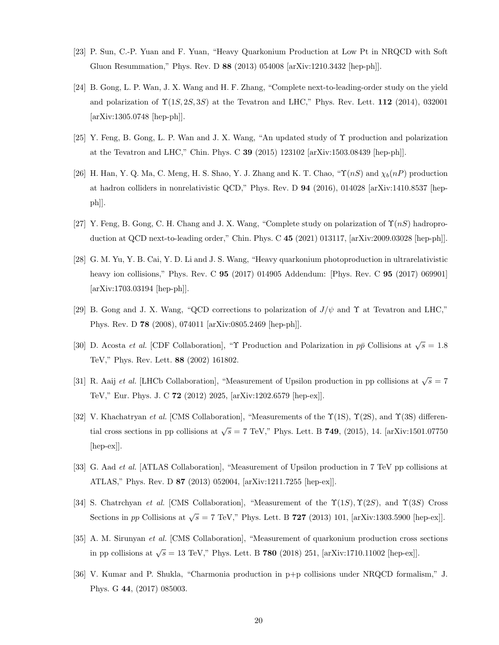- [23] P. Sun, C.-P. Yuan and F. Yuan, "Heavy Quarkonium Production at Low Pt in NRQCD with Soft Gluon Resummation," Phys. Rev. D 88 (2013) 054008 [arXiv:1210.3432 [hep-ph]].
- [24] B. Gong, L. P. Wan, J. X. Wang and H. F. Zhang, "Complete next-to-leading-order study on the yield and polarization of  $\Upsilon(1S, 2S, 3S)$  at the Tevatron and LHC," Phys. Rev. Lett. 112 (2014), 032001 [arXiv:1305.0748 [hep-ph]].
- [25] Y. Feng, B. Gong, L. P. Wan and J. X. Wang, "An updated study of Υ production and polarization at the Tevatron and LHC," Chin. Phys. C 39 (2015) 123102 [arXiv:1503.08439 [hep-ph]].
- [26] H. Han, Y. Q. Ma, C. Meng, H. S. Shao, Y. J. Zhang and K. T. Chao, " $\Upsilon(nS)$  and  $\chi_b(nP)$  production at hadron colliders in nonrelativistic QCD," Phys. Rev. D 94 (2016), 014028 [arXiv:1410.8537 [hepph]].
- [27] Y. Feng, B. Gong, C. H. Chang and J. X. Wang, "Complete study on polarization of  $\Upsilon(nS)$  hadroproduction at QCD next-to-leading order," Chin. Phys. C 45 (2021) 013117, [arXiv:2009.03028 [hep-ph]].
- [28] G. M. Yu, Y. B. Cai, Y. D. Li and J. S. Wang, "Heavy quarkonium photoproduction in ultrarelativistic heavy ion collisions," Phys. Rev. C **95** (2017) 014905 Addendum: [Phys. Rev. C **95** (2017) 069901] [arXiv:1703.03194 [hep-ph]].
- [29] B. Gong and J. X. Wang, "QCD corrections to polarization of  $J/\psi$  and  $\Upsilon$  at Tevatron and LHC," Phys. Rev. D 78 (2008), 074011 [arXiv:0805.2469 [hep-ph]].
- [30] D. Acosta *et al.* [CDF Collaboration], "*Y* Production and Polarization in  $p\bar{p}$  Collisions at  $\sqrt{s} = 1.8$ TeV," Phys. Rev. Lett. 88 (2002) 161802.
- [31] R. Aaij *et al.* [LHCb Collaboration], "Measurement of Upsilon production in pp collisions at  $\sqrt{s} = 7$ TeV," Eur. Phys. J. C 72 (2012) 2025, [arXiv:1202.6579 [hep-ex]].
- [32] V. Khachatryan *et al.* [CMS Collaboration], "Measurements of the  $\Upsilon(1S)$ ,  $\Upsilon(2S)$ , and  $\Upsilon(3S)$  differential cross sections in pp collisions at  $\sqrt{s} = 7$  TeV," Phys. Lett. B **749**, (2015), 14. [arXiv:1501.07750] [hep-ex]].
- [33] G. Aad *et al.* [ATLAS Collaboration], "Measurement of Upsilon production in 7 TeV pp collisions at ATLAS," Phys. Rev. D 87 (2013) 052004, [arXiv:1211.7255 [hep-ex]].
- [34] S. Chatrchyan *et al.* [CMS Collaboration], "Measurement of the  $\Upsilon(1S)$ ,  $\Upsilon(2S)$ , and  $\Upsilon(3S)$  Cross Sections in pp Collisions at  $\sqrt{s} = 7$  TeV," Phys. Lett. B 727 (2013) 101, [arXiv:1303.5900 [hep-ex]].
- [35] A. M. Sirunyan *et al.* [CMS Collaboration], "Measurement of quarkonium production cross sections in pp collisions at  $\sqrt{s} = 13$  TeV," Phys. Lett. B **780** (2018) 251, [arXiv:1710.11002 [hep-ex]].
- [36] V. Kumar and P. Shukla, "Charmonia production in p+p collisions under NRQCD formalism," J. Phys. G 44, (2017) 085003.